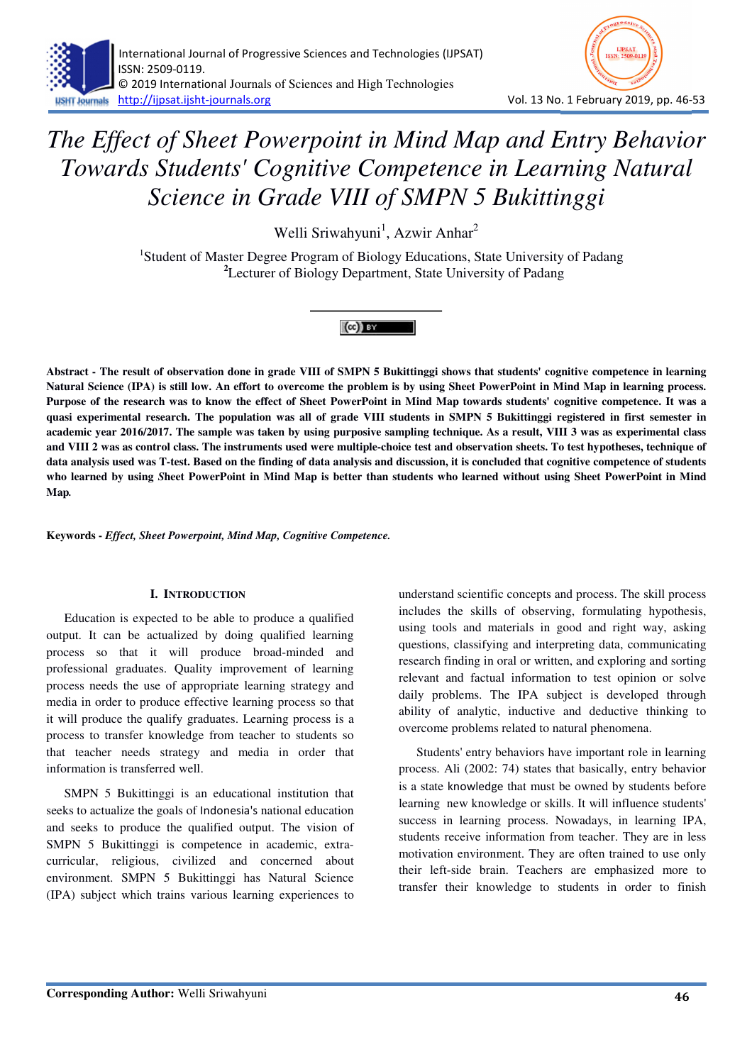

Welli Sriwahyuni<sup>1</sup>, Azwir Anhar<sup>2</sup>

<sup>1</sup>Student of Master Degree Program of Biology Educations, State University of Padang **<sup>2</sup>**Lecturer of Biology Department, State University of Padang



**Abstract - The result of observation done in grade VIII of SMPN 5 Bukittinggi shows that students' cognitive competence in learning Natural Science (IPA) is still low. An effort to overcome the problem is by using Sheet PowerPoint in Mind Map in learning process. Purpose of the research was to know the effect of Sheet PowerPoint in Mind Map towards students' cognitive competence. It was a quasi experimental research. The population was all of grade VIII students in SMPN 5 Bukittinggi registered in first semester in academic year 2016/2017. The sample was taken by using purposive sampling technique. As a result, VIII 3 was as experimental class and VIII 2 was as control class. The instruments used were multiple-choice test and observation sheets. To test hypotheses, technique of data analysis used was T-test. Based on the finding of data analysis and discussion, it is concluded that cognitive competence of students who learned by using** *S***heet PowerPoint in Mind Map is better than students who learned without using Sheet PowerPoint in Mind Map***.*

**Keywords -** *Effect, Sheet Powerpoint, Mind Map, Cognitive Competence.*

#### **I. INTRODUCTION**

Education is expected to be able to produce a qualified output. It can be actualized by doing qualified learning process so that it will produce broad-minded and professional graduates. Quality improvement of learning process needs the use of appropriate learning strategy and media in order to produce effective learning process so that it will produce the qualify graduates. Learning process is a process to transfer knowledge from teacher to students so that teacher needs strategy and media in order that information is transferred well.

SMPN 5 Bukittinggi is an educational institution that seeks to actualize the goals of Indonesia's national education and seeks to produce the qualified output. The vision of SMPN 5 Bukittinggi is competence in academic, extracurricular, religious, civilized and concerned about environment. SMPN 5 Bukittinggi has Natural Science (IPA) subject which trains various learning experiences to understand scientific concepts and process. The skill process includes the skills of observing, formulating hypothesis, using tools and materials in good and right way, asking questions, classifying and interpreting data, communicating research finding in oral or written, and exploring and sorting relevant and factual information to test opinion or solve daily problems. The IPA subject is developed through ability of analytic, inductive and deductive thinking to overcome problems related to natural phenomena.

Students' entry behaviors have important role in learning process. Ali (2002: 74) states that basically, entry behavior is a state knowledge that must be owned by students before learning new knowledge or skills. It will influence students' success in learning process. Nowadays, in learning IPA, students receive information from teacher. They are in less motivation environment. They are often trained to use only their left-side brain. Teachers are emphasized more to transfer their knowledge to students in order to finish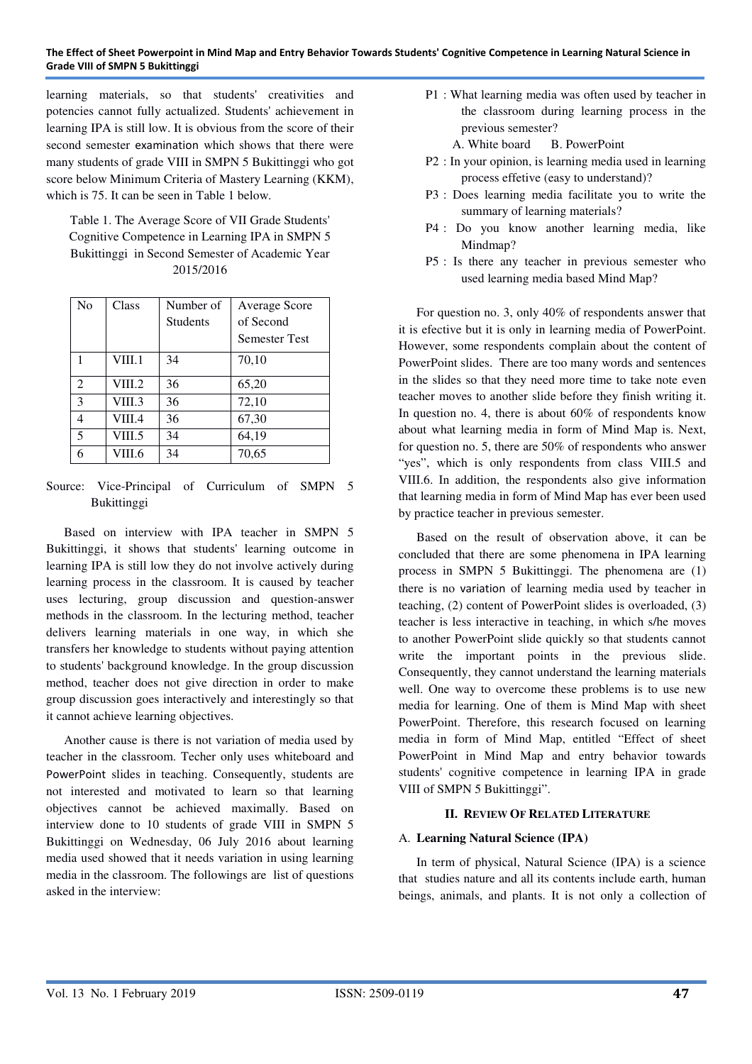learning materials, so that students' creativities and potencies cannot fully actualized. Students' achievement in learning IPA is still low. It is obvious from the score of their second semester examination which shows that there were many students of grade VIII in SMPN 5 Bukittinggi who got score below Minimum Criteria of Mastery Learning (KKM), which is 75. It can be seen in Table 1 below.

Table 1. The Average Score of VII Grade Students' Cognitive Competence in Learning IPA in SMPN 5 Bukittinggi in Second Semester of Academic Year 2015/2016

| N <sub>o</sub> | Class  | Number of       | Average Score        |
|----------------|--------|-----------------|----------------------|
|                |        | <b>Students</b> | of Second            |
|                |        |                 | <b>Semester Test</b> |
|                | VIII.1 | 34              | 70,10                |
| $\overline{2}$ | VIII.2 | 36              | 65,20                |
| 3              | VIII.3 | 36              | 72,10                |
| $\overline{4}$ | VIII.4 | 36              | 67,30                |
| 5              | VIII.5 | 34              | 64,19                |
| 6              | VIII.6 | 34              | 70,65                |

Source: Vice-Principal of Curriculum of SMPN 5 Bukittinggi

Based on interview with IPA teacher in SMPN 5 Bukittinggi, it shows that students' learning outcome in learning IPA is still low they do not involve actively during learning process in the classroom. It is caused by teacher uses lecturing, group discussion and question-answer methods in the classroom. In the lecturing method, teacher delivers learning materials in one way, in which she transfers her knowledge to students without paying attention to students' background knowledge. In the group discussion method, teacher does not give direction in order to make group discussion goes interactively and interestingly so that it cannot achieve learning objectives.

Another cause is there is not variation of media used by teacher in the classroom. Techer only uses whiteboard and PowerPoint slides in teaching. Consequently, students are not interested and motivated to learn so that learning objectives cannot be achieved maximally. Based on interview done to 10 students of grade VIII in SMPN 5 Bukittinggi on Wednesday, 06 July 2016 about learning media used showed that it needs variation in using learning media in the classroom. The followings are list of questions asked in the interview:

- P1 : What learning media was often used by teacher in the classroom during learning process in the previous semester?
	- A. White board B. PowerPoint
- P2 : In your opinion, is learning media used in learning process effetive (easy to understand)?
- P3 : Does learning media facilitate you to write the summary of learning materials?
- P4 : Do you know another learning media, like Mindmap?
- P5 : Is there any teacher in previous semester who used learning media based Mind Map?

For question no. 3, only 40% of respondents answer that it is efective but it is only in learning media of PowerPoint. However, some respondents complain about the content of PowerPoint slides. There are too many words and sentences in the slides so that they need more time to take note even teacher moves to another slide before they finish writing it. In question no. 4, there is about 60% of respondents know about what learning media in form of Mind Map is. Next, for question no. 5, there are 50% of respondents who answer "yes", which is only respondents from class VIII.5 and VIII.6. In addition, the respondents also give information that learning media in form of Mind Map has ever been used by practice teacher in previous semester.

Based on the result of observation above, it can be concluded that there are some phenomena in IPA learning process in SMPN 5 Bukittinggi. The phenomena are (1) there is no variation of learning media used by teacher in teaching, (2) content of PowerPoint slides is overloaded, (3) teacher is less interactive in teaching, in which s/he moves to another PowerPoint slide quickly so that students cannot write the important points in the previous slide. Consequently, they cannot understand the learning materials well. One way to overcome these problems is to use new media for learning. One of them is Mind Map with sheet PowerPoint. Therefore, this research focused on learning media in form of Mind Map, entitled "Effect of sheet PowerPoint in Mind Map and entry behavior towards students' cognitive competence in learning IPA in grade VIII of SMPN 5 Bukittinggi".

# **II. REVIEW OF RELATED LITERATURE**

# A. **Learning Natural Science (IPA)**

In term of physical, Natural Science (IPA) is a science that studies nature and all its contents include earth, human beings, animals, and plants. It is not only a collection of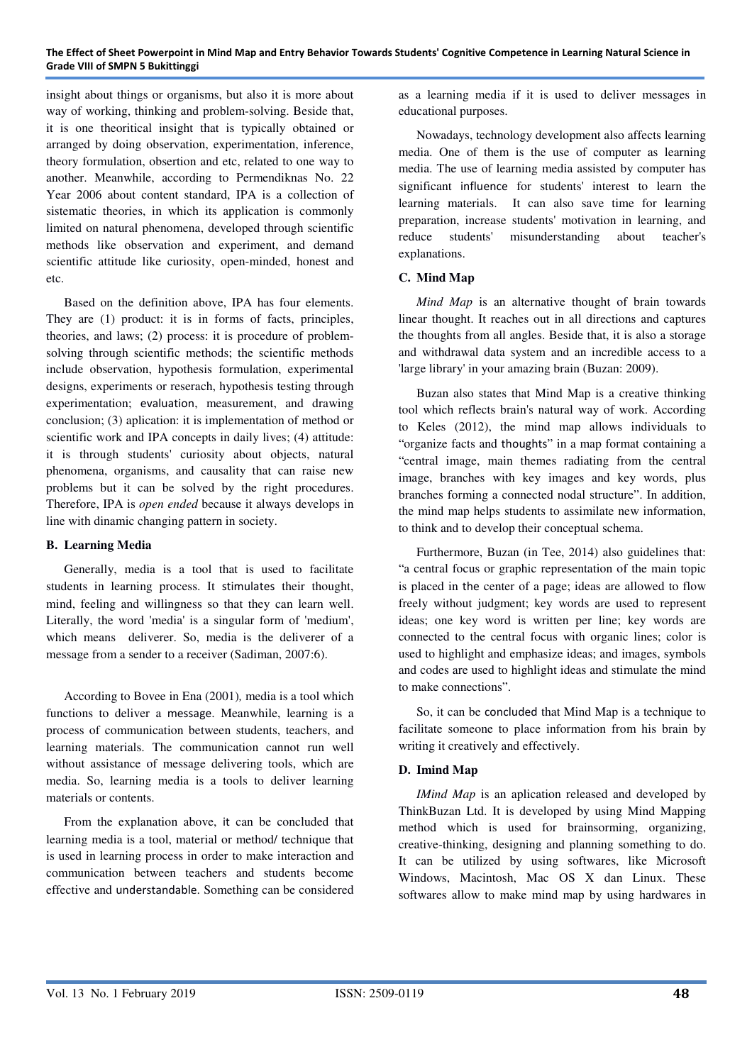insight about things or organisms, but also it is more about way of working, thinking and problem-solving. Beside that, it is one theoritical insight that is typically obtained or arranged by doing observation, experimentation, inference, theory formulation, obsertion and etc, related to one way to another. Meanwhile, according to Permendiknas No. 22 Year 2006 about content standard, IPA is a collection of sistematic theories, in which its application is commonly limited on natural phenomena, developed through scientific methods like observation and experiment, and demand scientific attitude like curiosity, open-minded, honest and etc.

Based on the definition above, IPA has four elements. They are (1) product: it is in forms of facts, principles, theories, and laws; (2) process: it is procedure of problemsolving through scientific methods; the scientific methods include observation, hypothesis formulation, experimental designs, experiments or reserach, hypothesis testing through experimentation; evaluation, measurement, and drawing conclusion; (3) aplication: it is implementation of method or scientific work and IPA concepts in daily lives; (4) attitude: it is through students' curiosity about objects, natural phenomena, organisms, and causality that can raise new problems but it can be solved by the right procedures. Therefore, IPA is *open ended* because it always develops in line with dinamic changing pattern in society.

#### **B. Learning Media**

Generally, media is a tool that is used to facilitate students in learning process. It stimulates their thought, mind, feeling and willingness so that they can learn well. Literally, the word 'media' is a singular form of 'medium', which means deliverer. So, media is the deliverer of a message from a sender to a receiver (Sadiman, 2007:6).

According to Bovee in Ena (2001)*,* media is a tool which functions to deliver a message. Meanwhile, learning is a process of communication between students, teachers, and learning materials. The communication cannot run well without assistance of message delivering tools, which are media. So, learning media is a tools to deliver learning materials or contents.

From the explanation above, it can be concluded that learning media is a tool, material or method/ technique that is used in learning process in order to make interaction and communication between teachers and students become effective and understandable. Something can be considered as a learning media if it is used to deliver messages in educational purposes.

Nowadays, technology development also affects learning media. One of them is the use of computer as learning media. The use of learning media assisted by computer has significant influence for students' interest to learn the learning materials. It can also save time for learning preparation, increase students' motivation in learning, and reduce students' misunderstanding about teacher's explanations.

# **C. Mind Map**

*Mind Map* is an alternative thought of brain towards linear thought. It reaches out in all directions and captures the thoughts from all angles. Beside that, it is also a storage and withdrawal data system and an incredible access to a 'large library' in your amazing brain (Buzan: 2009).

Buzan also states that Mind Map is a creative thinking tool which reflects brain's natural way of work. According to Keles (2012), the mind map allows individuals to "organize facts and thoughts" in a map format containing a "central image, main themes radiating from the central image, branches with key images and key words, plus branches forming a connected nodal structure". In addition, the mind map helps students to assimilate new information, to think and to develop their conceptual schema.

Furthermore, Buzan (in Tee, 2014) also guidelines that: "a central focus or graphic representation of the main topic is placed in the center of a page; ideas are allowed to flow freely without judgment; key words are used to represent ideas; one key word is written per line; key words are connected to the central focus with organic lines; color is used to highlight and emphasize ideas; and images, symbols and codes are used to highlight ideas and stimulate the mind to make connections".

So, it can be concluded that Mind Map is a technique to facilitate someone to place information from his brain by writing it creatively and effectively.

# **D. Imind Map**

*IMind Map* is an aplication released and developed by ThinkBuzan Ltd. It is developed by using Mind Mapping method which is used for brainsorming, organizing, creative-thinking, designing and planning something to do. It can be utilized by using softwares, like Microsoft Windows, Macintosh, Mac OS X dan Linux. These softwares allow to make mind map by using hardwares in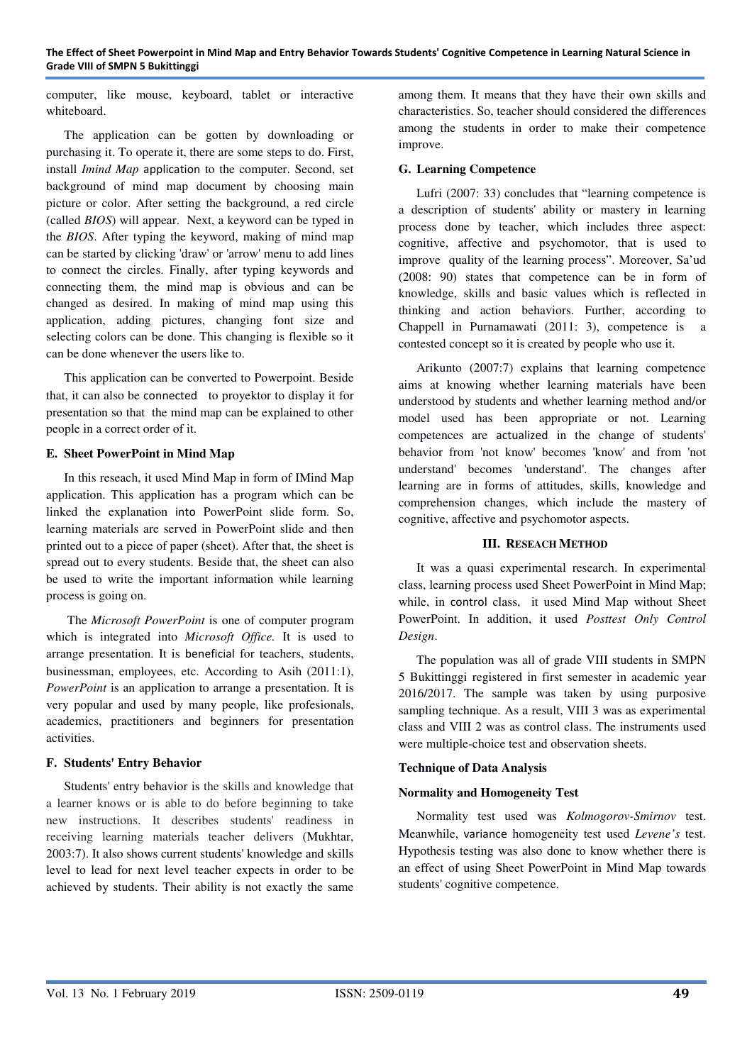computer, like mouse, keyboard, tablet or interactive whiteboard.

The application can be gotten by downloading or purchasing it. To operate it, there are some steps to do. First, install *Imind Map* application to the computer. Second, set background of mind map document by choosing main picture or color. After setting the background, a red circle (called *BIOS*) will appear. Next, a keyword can be typed in the *BIOS*. After typing the keyword, making of mind map can be started by clicking 'draw' or 'arrow' menu to add lines to connect the circles. Finally, after typing keywords and connecting them, the mind map is obvious and can be changed as desired. In making of mind map using this application, adding pictures, changing font size and selecting colors can be done. This changing is flexible so it can be done whenever the users like to.

This application can be converted to Powerpoint. Beside that, it can also be connectedto proyektor to display it for presentation so that the mind map can be explained to other people in a correct order of it.

## **E. Sheet PowerPoint in Mind Map**

In this reseach, it used Mind Map in form of IMind Map application. This application has a program which can be linked the explanation into PowerPoint slide form. So, learning materials are served in PowerPoint slide and then printed out to a piece of paper (sheet). After that, the sheet is spread out to every students. Beside that, the sheet can also be used to write the important information while learning process is going on.

The *Microsoft PowerPoint* is one of computer program which is integrated into *Microsoft Office.* It is used to arrange presentation. It is beneficial for teachers, students, businessman, employees, etc. According to Asih (2011:1), *PowerPoint* is an application to arrange a presentation. It is very popular and used by many people, like profesionals, academics, practitioners and beginners for presentation activities.

# **F. Students' Entry Behavior**

Students' entry behavior is the skills and knowledge that a learner knows or is able to do before beginning to take new instructions. It describes students' readiness in receiving learning materials teacher delivers (Mukhtar, 2003:7). It also shows current students' knowledge and skills level to lead for next level teacher expects in order to be achieved by students. Their ability is not exactly the same

among them. It means that they have their own skills and characteristics. So, teacher should considered the differences among the students in order to make their competence improve.

#### **G. Learning Competence**

Lufri (2007: 33) concludes that "learning competence is a description of students' ability or mastery in learning process done by teacher, which includes three aspect: cognitive, affective and psychomotor, that is used to improve quality of the learning process". Moreover, Sa'ud (2008: 90) states that competence can be in form of knowledge, skills and basic values which is reflected in thinking and action behaviors. Further, according to Chappell in Purnamawati (2011: 3), competence is a contested concept so it is created by people who use it.

Arikunto (2007:7) explains that learning competence aims at knowing whether learning materials have been understood by students and whether learning method and/or model used has been appropriate or not. Learning competences are actualized in the change of students' behavior from 'not know' becomes 'know' and from 'not understand' becomes 'understand'. The changes after learning are in forms of attitudes, skills, knowledge and comprehension changes, which include the mastery of cognitive, affective and psychomotor aspects.

#### **III. RESEACH METHOD**

It was a quasi experimental research. In experimental class, learning process used Sheet PowerPoint in Mind Map; while, in control class, it used Mind Map without Sheet PowerPoint. In addition, it used *Posttest Only Control Design*.

The population was all of grade VIII students in SMPN 5 Bukittinggi registered in first semester in academic year 2016/2017. The sample was taken by using purposive sampling technique. As a result, VIII 3 was as experimental class and VIII 2 was as control class. The instruments used were multiple-choice test and observation sheets.

# **Technique of Data Analysis**

# **Normality and Homogeneity Test**

Normality test used was *Kolmogorov-Smirnov* test. Meanwhile, variance homogeneity test used *Levene's* test. Hypothesis testing was also done to know whether there is an effect of using Sheet PowerPoint in Mind Map towards students' cognitive competence.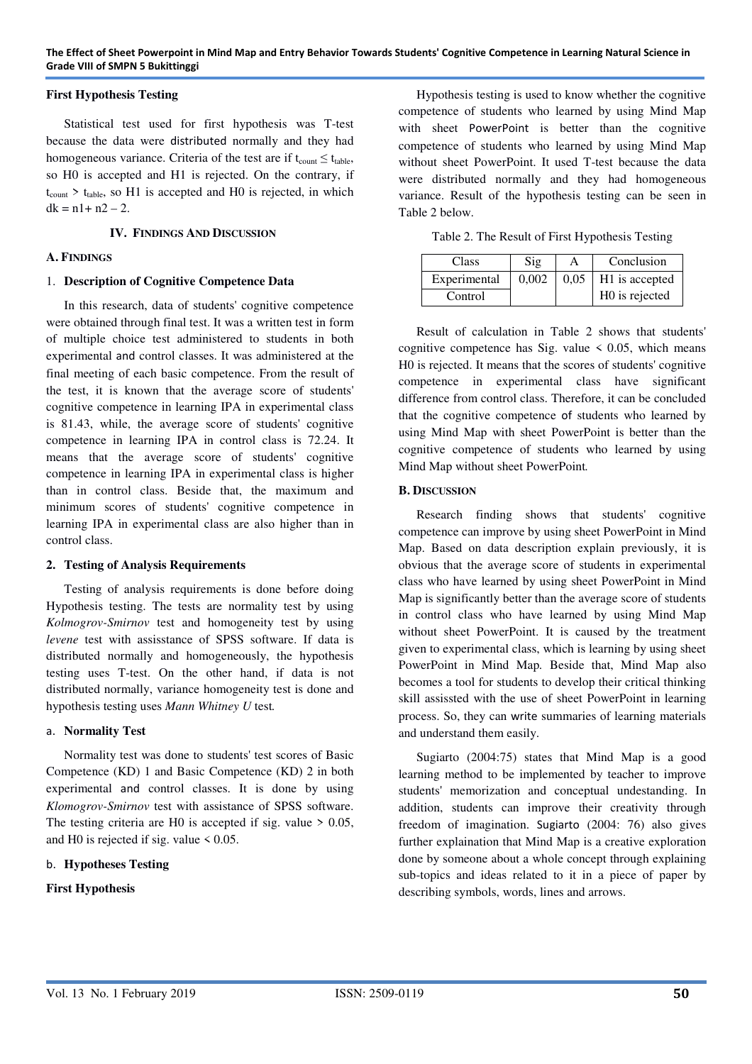## **First Hypothesis Testing**

Statistical test used for first hypothesis was T-test because the data were distributed normally and they had homogeneous variance. Criteria of the test are if  $t_{\text{count}} \leq t_{\text{table}}$ , so H0 is accepted and H1 is rejected. On the contrary, if  $t_{\text{count}}$  >  $t_{\text{table}}$ , so H1 is accepted and H0 is rejected, in which  $dk = n1 + n2 - 2$ .

## **IV. FINDINGS AND DISCUSSION**

## **A. FINDINGS**

## 1. **Description of Cognitive Competence Data**

In this research, data of students' cognitive competence were obtained through final test. It was a written test in form of multiple choice test administered to students in both experimental and control classes. It was administered at the final meeting of each basic competence. From the result of the test, it is known that the average score of students' cognitive competence in learning IPA in experimental class is 81.43, while, the average score of students' cognitive competence in learning IPA in control class is 72.24. It means that the average score of students' cognitive competence in learning IPA in experimental class is higher than in control class. Beside that, the maximum and minimum scores of students' cognitive competence in learning IPA in experimental class are also higher than in control class.

#### **2. Testing of Analysis Requirements**

Testing of analysis requirements is done before doing Hypothesis testing. The tests are normality test by using *Kolmogrov-Smirnov* test and homogeneity test by using *levene* test with assisstance of SPSS software. If data is distributed normally and homogeneously, the hypothesis testing uses T-test. On the other hand, if data is not distributed normally, variance homogeneity test is done and hypothesis testing uses *Mann Whitney U* test*.*

## a. **Normality Test**

Normality test was done to students' test scores of Basic Competence (KD) 1 and Basic Competence (KD) 2 in both experimental and control classes. It is done by using *Klomogrov-Smirnov* test with assistance of SPSS software. The testing criteria are H0 is accepted if sig. value  $> 0.05$ , and H0 is rejected if sig. value  $\leq 0.05$ .

#### b. **Hypotheses Testing**

# **First Hypothesis**

Hypothesis testing is used to know whether the cognitive competence of students who learned by using Mind Map with sheet PowerPoint is better than the cognitive competence of students who learned by using Mind Map without sheet PowerPoint. It used T-test because the data were distributed normally and they had homogeneous variance. Result of the hypothesis testing can be seen in Table 2 below.

Table 2. The Result of First Hypothesis Testing

| <b>Class</b> | Sig   |      | Conclusion                 |
|--------------|-------|------|----------------------------|
| Experimental | 0.002 | 0.05 | H <sub>1</sub> is accepted |
| Control      |       |      | H0 is rejected             |

Result of calculation in Table 2 shows that students' cognitive competence has Sig. value  $\leq 0.05$ , which means H0 is rejected. It means that the scores of students' cognitive competence in experimental class have significant difference from control class. Therefore, it can be concluded that the cognitive competence of students who learned by using Mind Map with sheet PowerPoint is better than the cognitive competence of students who learned by using Mind Map without sheet PowerPoint*.*

## **B. DISCUSSION**

Research finding shows that students' cognitive competence can improve by using sheet PowerPoint in Mind Map. Based on data description explain previously, it is obvious that the average score of students in experimental class who have learned by using sheet PowerPoint in Mind Map is significantly better than the average score of students in control class who have learned by using Mind Map without sheet PowerPoint. It is caused by the treatment given to experimental class, which is learning by using sheet PowerPoint in Mind Map*.* Beside that, Mind Map also becomes a tool for students to develop their critical thinking skill assissted with the use of sheet PowerPoint in learning process. So, they can write summaries of learning materials and understand them easily.

Sugiarto (2004:75) states that Mind Map is a good learning method to be implemented by teacher to improve students' memorization and conceptual undestanding. In addition, students can improve their creativity through freedom of imagination. Sugiarto (2004: 76) also gives further explaination that Mind Map is a creative exploration done by someone about a whole concept through explaining sub-topics and ideas related to it in a piece of paper by describing symbols, words, lines and arrows.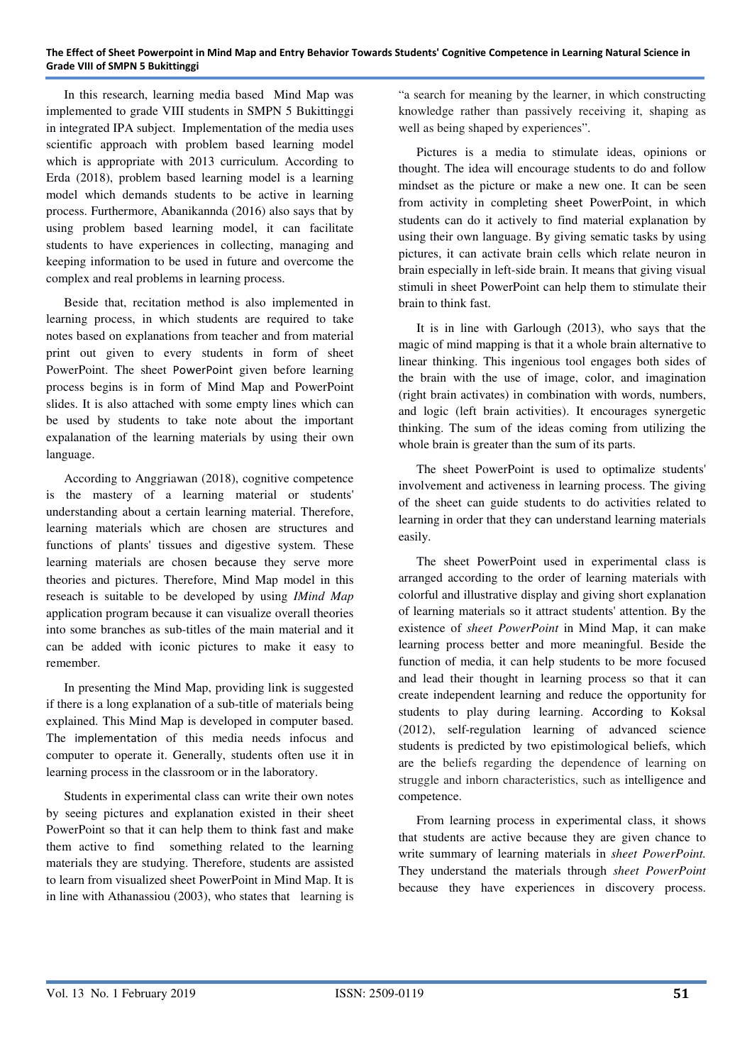In this research, learning media based Mind Map was implemented to grade VIII students in SMPN 5 Bukittinggi in integrated IPA subject. Implementation of the media uses scientific approach with problem based learning model which is appropriate with 2013 curriculum. According to Erda (2018), problem based learning model is a learning model which demands students to be active in learning process. Furthermore, Abanikannda (2016) also says that by using problem based learning model, it can facilitate students to have experiences in collecting, managing and keeping information to be used in future and overcome the complex and real problems in learning process.

Beside that, recitation method is also implemented in learning process, in which students are required to take notes based on explanations from teacher and from material print out given to every students in form of sheet PowerPoint. The sheet PowerPoint given before learning process begins is in form of Mind Map and PowerPoint slides. It is also attached with some empty lines which can be used by students to take note about the important expalanation of the learning materials by using their own language.

According to Anggriawan (2018), cognitive competence is the mastery of a learning material or students' understanding about a certain learning material. Therefore, learning materials which are chosen are structures and functions of plants' tissues and digestive system. These learning materials are chosen because they serve more theories and pictures. Therefore, Mind Map model in this reseach is suitable to be developed by using *IMind Map* application program because it can visualize overall theories into some branches as sub-titles of the main material and it can be added with iconic pictures to make it easy to remember.

In presenting the Mind Map, providing link is suggested if there is a long explanation of a sub-title of materials being explained. This Mind Map is developed in computer based. The implementation of this media needs infocus and computer to operate it. Generally, students often use it in learning process in the classroom or in the laboratory.

Students in experimental class can write their own notes by seeing pictures and explanation existed in their sheet PowerPoint so that it can help them to think fast and make them active to find something related to the learning materials they are studying. Therefore, students are assisted to learn from visualized sheet PowerPoint in Mind Map. It is in line with Athanassiou (2003), who states that learning is

"a search for meaning by the learner, in which constructing knowledge rather than passively receiving it, shaping as well as being shaped by experiences".

Pictures is a media to stimulate ideas, opinions or thought. The idea will encourage students to do and follow mindset as the picture or make a new one. It can be seen from activity in completing sheet PowerPoint, in which students can do it actively to find material explanation by using their own language. By giving sematic tasks by using pictures, it can activate brain cells which relate neuron in brain especially in left-side brain. It means that giving visual stimuli in sheet PowerPoint can help them to stimulate their brain to think fast.

It is in line with Garlough (2013), who says that the magic of mind mapping is that it a whole brain alternative to linear thinking. This ingenious tool engages both sides of the brain with the use of image, color, and imagination (right brain activates) in combination with words, numbers, and logic (left brain activities). It encourages synergetic thinking. The sum of the ideas coming from utilizing the whole brain is greater than the sum of its parts.

The sheet PowerPoint is used to optimalize students' involvement and activeness in learning process. The giving of the sheet can guide students to do activities related to learning in order that they can understand learning materials easily.

The sheet PowerPoint used in experimental class is arranged according to the order of learning materials with colorful and illustrative display and giving short explanation of learning materials so it attract students' attention. By the existence of *sheet PowerPoint* in Mind Map, it can make learning process better and more meaningful. Beside the function of media, it can help students to be more focused and lead their thought in learning process so that it can create independent learning and reduce the opportunity for students to play during learning. According to Koksal (2012), self-regulation learning of advanced science students is predicted by two epistimological beliefs, which are the beliefs regarding the dependence of learning on struggle and inborn characteristics, such as intelligence and competence.

From learning process in experimental class, it shows that students are active because they are given chance to write summary of learning materials in *sheet PowerPoint.* They understand the materials through *sheet PowerPoint* because they have experiences in discovery process.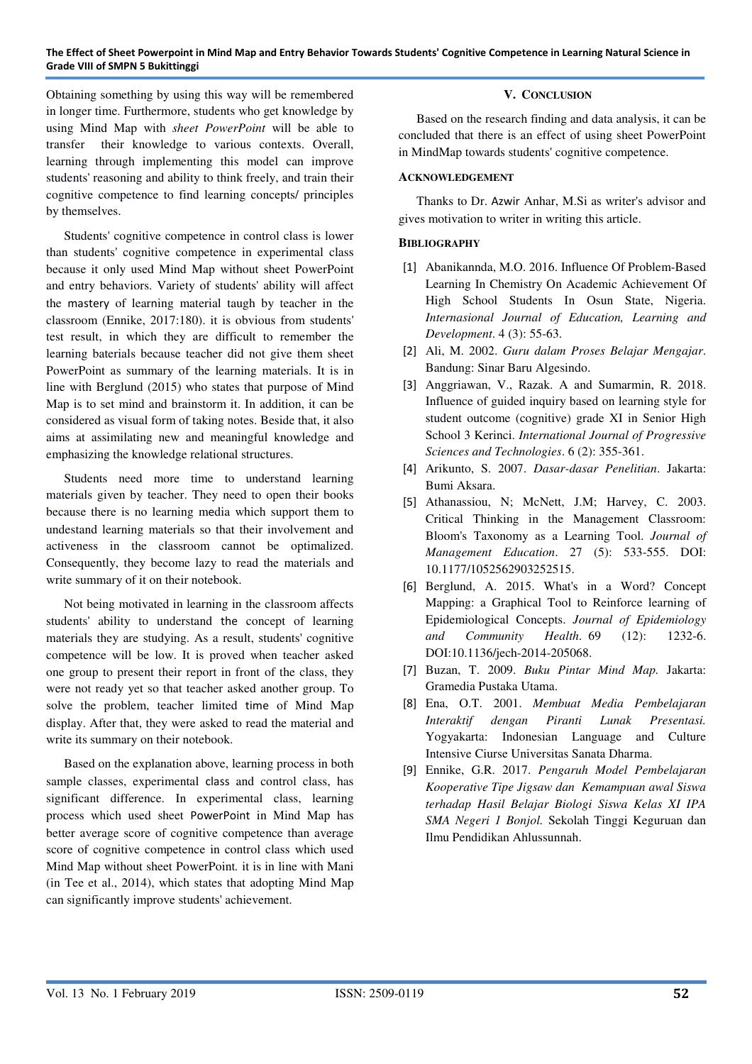Obtaining something by using this way will be remembered in longer time. Furthermore, students who get knowledge by using Mind Map with *sheet PowerPoint* will be able to transfer their knowledge to various contexts. Overall, learning through implementing this model can improve students' reasoning and ability to think freely, and train their cognitive competence to find learning concepts/ principles by themselves.

Students' cognitive competence in control class is lower than students' cognitive competence in experimental class because it only used Mind Map without sheet PowerPoint and entry behaviors. Variety of students' ability will affect the mastery of learning material taugh by teacher in the classroom (Ennike, 2017:180). it is obvious from students' test result, in which they are difficult to remember the learning baterials because teacher did not give them sheet PowerPoint as summary of the learning materials. It is in line with Berglund (2015) who states that purpose of Mind Map is to set mind and brainstorm it. In addition, it can be considered as visual form of taking notes. Beside that, it also aims at assimilating new and meaningful knowledge and emphasizing the knowledge relational structures.

Students need more time to understand learning materials given by teacher. They need to open their books because there is no learning media which support them to undestand learning materials so that their involvement and activeness in the classroom cannot be optimalized. Consequently, they become lazy to read the materials and write summary of it on their notebook.

Not being motivated in learning in the classroom affects students' ability to understand the concept of learning materials they are studying. As a result, students' cognitive competence will be low. It is proved when teacher asked one group to present their report in front of the class, they were not ready yet so that teacher asked another group. To solve the problem, teacher limited time of Mind Map display. After that, they were asked to read the material and write its summary on their notebook.

Based on the explanation above, learning process in both sample classes, experimental class and control class, has significant difference. In experimental class, learning process which used sheet PowerPoint in Mind Map has better average score of cognitive competence than average score of cognitive competence in control class which used Mind Map without sheet PowerPoint*.* it is in line with Mani (in Tee et al., 2014), which states that adopting Mind Map can significantly improve students' achievement.

## **V. CONCLUSION**

Based on the research finding and data analysis, it can be concluded that there is an effect of using sheet PowerPoint in MindMap towards students' cognitive competence.

#### **ACKNOWLEDGEMENT**

Thanks to Dr. Azwir Anhar, M.Si as writer's advisor and gives motivation to writer in writing this article.

# **BIBLIOGRAPHY**

- [1] Abanikannda, M.O. 2016. Influence Of Problem-Based Learning In Chemistry On Academic Achievement Of High School Students In Osun State, Nigeria. *Internasional Journal of Education, Learning and Development*. 4 (3): 55-63.
- [2] Ali, M. 2002. *Guru dalam Proses Belajar Mengajar*. Bandung: Sinar Baru Algesindo.
- [3] Anggriawan, V., Razak. A and Sumarmin, R. 2018. Influence of guided inquiry based on learning style for student outcome (cognitive) grade XI in Senior High School 3 Kerinci. *International Journal of Progressive Sciences and Technologies*. 6 (2): 355-361.
- [4] Arikunto, S. 2007. *Dasar-dasar Penelitian*. Jakarta: Bumi Aksara.
- [5] Athanassiou, N; McNett, J.M; Harvey, C. 2003. Critical Thinking in the Management Classroom: Bloom's Taxonomy as a Learning Tool. *Journal of Management Education*. 27 (5): 533-555. DOI: 10.1177/1052562903252515.
- [6] Berglund, A. 2015. What's in a Word? Concept Mapping: a Graphical Tool to Reinforce learning of Epidemiological Concepts. *Journal of Epidemiology and Community Health*. 69 (12): 1232-6. DOI:10.1136/jech-2014-205068.
- [7] Buzan, T. 2009. *Buku Pintar Mind Map.* Jakarta: Gramedia Pustaka Utama.
- [8] Ena, O.T. 2001. *Membuat Media Pembelajaran Interaktif dengan Piranti Lunak Presentasi.*  Yogyakarta: Indonesian Language and Culture Intensive Ciurse Universitas Sanata Dharma.
- [9] Ennike, G.R. 2017. *Pengaruh Model Pembelajaran Kooperative Tipe Jigsaw dan Kemampuan awal Siswa terhadap Hasil Belajar Biologi Siswa Kelas XI IPA SMA Negeri 1 Bonjol.* Sekolah Tinggi Keguruan dan Ilmu Pendidikan Ahlussunnah.